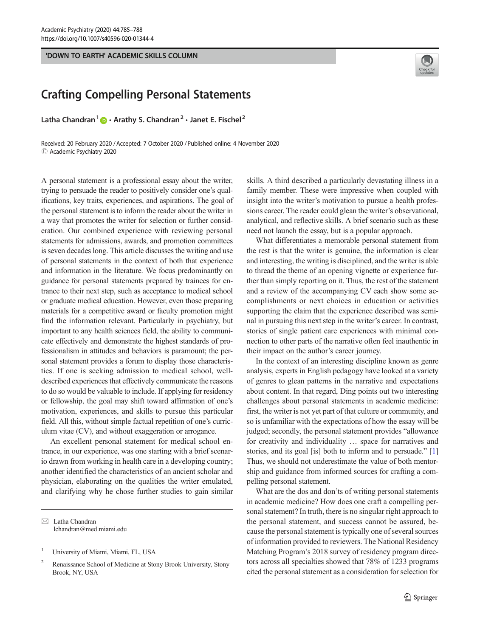'DOWN TO EARTH' ACADEMIC SKILLS COLUMN

# Crafting Compelling Personal Statements

Latha Chandran<sup>1</sup>  $\bullet$  · Arathy S. Chandran<sup>2</sup> · Janet E. Fischel<sup>2</sup>

Received: 20 February 2020 /Accepted: 7 October 2020 /Published online: 4 November 2020  $\odot$  Academic Psychiatry 2020

A personal statement is a professional essay about the writer, trying to persuade the reader to positively consider one's qualifications, key traits, experiences, and aspirations. The goal of the personal statement is to inform the reader about the writer in a way that promotes the writer for selection or further consideration. Our combined experience with reviewing personal statements for admissions, awards, and promotion committees is seven decades long. This article discusses the writing and use of personal statements in the context of both that experience and information in the literature. We focus predominantly on guidance for personal statements prepared by trainees for entrance to their next step, such as acceptance to medical school or graduate medical education. However, even those preparing materials for a competitive award or faculty promotion might find the information relevant. Particularly in psychiatry, but important to any health sciences field, the ability to communicate effectively and demonstrate the highest standards of professionalism in attitudes and behaviors is paramount; the personal statement provides a forum to display those characteristics. If one is seeking admission to medical school, welldescribed experiences that effectively communicate the reasons to do so would be valuable to include. If applying for residency or fellowship, the goal may shift toward affirmation of one's motivation, experiences, and skills to pursue this particular field. All this, without simple factual repetition of one's curriculum vitae (CV), and without exaggeration or arrogance.

An excellent personal statement for medical school entrance, in our experience, was one starting with a brief scenario drawn from working in health care in a developing country; another identified the characteristics of an ancient scholar and physician, elaborating on the qualities the writer emulated, and clarifying why he chose further studies to gain similar

 $\boxtimes$  Latha Chandran [lchandran@med.miami.edu](mailto:lchandran@med.miami.edu)

<sup>1</sup> University of Miami, Miami, FL, USA

<sup>2</sup> Renaissance School of Medicine at Stony Brook University, Stony Brook, NY, USA



What differentiates a memorable personal statement from the rest is that the writer is genuine, the information is clear and interesting, the writing is disciplined, and the writer is able to thread the theme of an opening vignette or experience further than simply reporting on it. Thus, the rest of the statement and a review of the accompanying CV each show some accomplishments or next choices in education or activities supporting the claim that the experience described was seminal in pursuing this next step in the writer's career. In contrast, stories of single patient care experiences with minimal connection to other parts of the narrative often feel inauthentic in their impact on the author's career journey.

In the context of an interesting discipline known as genre analysis, experts in English pedagogy have looked at a variety of genres to glean patterns in the narrative and expectations about content. In that regard, Ding points out two interesting challenges about personal statements in academic medicine: first, the writer is not yet part of that culture or community, and so is unfamiliar with the expectations of how the essay will be judged; secondly, the personal statement provides "allowance for creativity and individuality … space for narratives and stories, and its goal [is] both to inform and to persuade." [\[1](#page-3-0)] Thus, we should not underestimate the value of both mentorship and guidance from informed sources for crafting a compelling personal statement.

What are the dos and don'ts of writing personal statements in academic medicine? How does one craft a compelling personal statement? In truth, there is no singular right approach to the personal statement, and success cannot be assured, because the personal statement is typically one of several sources of information provided to reviewers. The National Residency Matching Program's 2018 survey of residency program directors across all specialties showed that 78% of 1233 programs cited the personal statement as a consideration for selection for

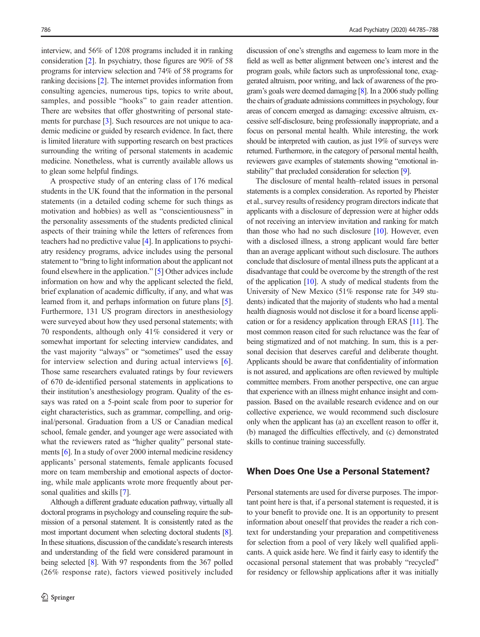interview, and 56% of 1208 programs included it in ranking consideration [\[2](#page-3-0)]. In psychiatry, those figures are 90% of 58 programs for interview selection and 74% of 58 programs for ranking decisions [\[2](#page-3-0)]. The internet provides information from consulting agencies, numerous tips, topics to write about, samples, and possible "hooks" to gain reader attention. There are websites that offer ghostwriting of personal state-ments for purchase [[3](#page-3-0)]. Such resources are not unique to academic medicine or guided by research evidence. In fact, there is limited literature with supporting research on best practices surrounding the writing of personal statements in academic medicine. Nonetheless, what is currently available allows us to glean some helpful findings.

A prospective study of an entering class of 176 medical students in the UK found that the information in the personal statements (in a detailed coding scheme for such things as motivation and hobbies) as well as "conscientiousness" in the personality assessments of the students predicted clinical aspects of their training while the letters of references from teachers had no predictive value [[4](#page-3-0)]. In applications to psychiatry residency programs, advice includes using the personal statement to "bring to light information about the applicant not found elsewhere in the application." [\[5\]](#page-3-0) Other advices include information on how and why the applicant selected the field, brief explanation of academic difficulty, if any, and what was learned from it, and perhaps information on future plans [[5\]](#page-3-0). Furthermore, 131 US program directors in anesthesiology were surveyed about how they used personal statements; with 70 respondents, although only 41% considered it very or somewhat important for selecting interview candidates, and the vast majority "always" or "sometimes" used the essay for interview selection and during actual interviews [[6](#page-3-0)]. Those same researchers evaluated ratings by four reviewers of 670 de-identified personal statements in applications to their institution's anesthesiology program. Quality of the essays was rated on a 5-point scale from poor to superior for eight characteristics, such as grammar, compelling, and original/personal. Graduation from a US or Canadian medical school, female gender, and younger age were associated with what the reviewers rated as "higher quality" personal statements [\[6](#page-3-0)]. In a study of over 2000 internal medicine residency applicants' personal statements, female applicants focused more on team membership and emotional aspects of doctoring, while male applicants wrote more frequently about personal qualities and skills [\[7\]](#page-3-0).

Although a different graduate education pathway, virtually all doctoral programs in psychology and counseling require the submission of a personal statement. It is consistently rated as the most important document when selecting doctoral students [\[8\]](#page-3-0). In these situations, discussion of the candidate's research interests and understanding of the field were considered paramount in being selected [\[8](#page-3-0)]. With 97 respondents from the 367 polled (26% response rate), factors viewed positively included

discussion of one's strengths and eagerness to learn more in the field as well as better alignment between one's interest and the program goals, while factors such as unprofessional tone, exaggerated altruism, poor writing, and lack of awareness of the program's goals were deemed damaging [\[8](#page-3-0)]. In a 2006 study polling the chairs of graduate admissions committees in psychology, four areas of concern emerged as damaging: excessive altruism, excessive self-disclosure, being professionally inappropriate, and a focus on personal mental health. While interesting, the work should be interpreted with caution, as just 19% of surveys were returned. Furthermore, in the category of personal mental health, reviewers gave examples of statements showing "emotional in-stability" that precluded consideration for selection [\[9](#page-3-0)].

The disclosure of mental health–related issues in personal statements is a complex consideration. As reported by Pheister et al., survey results of residency program directors indicate that applicants with a disclosure of depression were at higher odds of not receiving an interview invitation and ranking for match than those who had no such disclosure [[10](#page-3-0)]. However, even with a disclosed illness, a strong applicant would fare better than an average applicant without such disclosure. The authors conclude that disclosure of mental illness puts the applicant at a disadvantage that could be overcome by the strength of the rest of the application [\[10\]](#page-3-0). A study of medical students from the University of New Mexico (51% response rate for 349 students) indicated that the majority of students who had a mental health diagnosis would not disclose it for a board license application or for a residency application through ERAS [[11\]](#page-3-0). The most common reason cited for such reluctance was the fear of being stigmatized and of not matching. In sum, this is a personal decision that deserves careful and deliberate thought. Applicants should be aware that confidentiality of information is not assured, and applications are often reviewed by multiple committee members. From another perspective, one can argue that experience with an illness might enhance insight and compassion. Based on the available research evidence and on our collective experience, we would recommend such disclosure only when the applicant has (a) an excellent reason to offer it, (b) managed the difficulties effectively, and (c) demonstrated skills to continue training successfully.

#### When Does One Use a Personal Statement?

Personal statements are used for diverse purposes. The important point here is that, if a personal statement is requested, it is to your benefit to provide one. It is an opportunity to present information about oneself that provides the reader a rich context for understanding your preparation and competitiveness for selection from a pool of very likely well qualified applicants. A quick aside here. We find it fairly easy to identify the occasional personal statement that was probably "recycled" for residency or fellowship applications after it was initially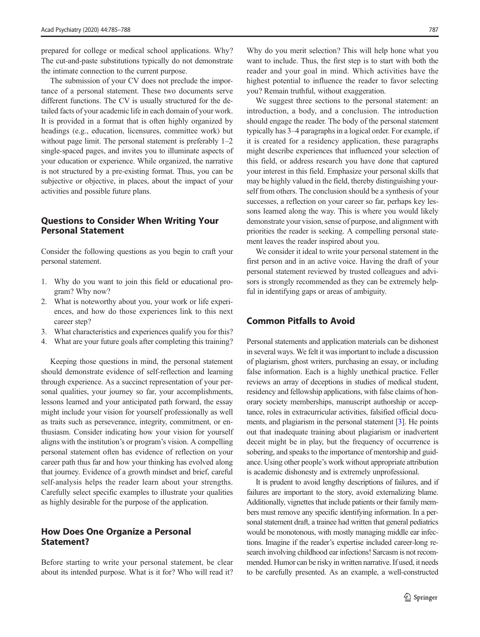prepared for college or medical school applications. Why? The cut-and-paste substitutions typically do not demonstrate the intimate connection to the current purpose.

The submission of your CV does not preclude the importance of a personal statement. These two documents serve different functions. The CV is usually structured for the detailed facts of your academic life in each domain of your work. It is provided in a format that is often highly organized by headings (e.g., education, licensures, committee work) but without page limit. The personal statement is preferably 1–2 single-spaced pages, and invites you to illuminate aspects of your education or experience. While organized, the narrative is not structured by a pre-existing format. Thus, you can be subjective or objective, in places, about the impact of your activities and possible future plans.

### Questions to Consider When Writing Your Personal Statement

Consider the following questions as you begin to craft your personal statement.

- 1. Why do you want to join this field or educational program? Why now?
- 2. What is noteworthy about you, your work or life experiences, and how do those experiences link to this next career step?
- 3. What characteristics and experiences qualify you for this?
- 4. What are your future goals after completing this training?

Keeping those questions in mind, the personal statement should demonstrate evidence of self-reflection and learning through experience. As a succinct representation of your personal qualities, your journey so far, your accomplishments, lessons learned and your anticipated path forward, the essay might include your vision for yourself professionally as well as traits such as perseverance, integrity, commitment, or enthusiasm. Consider indicating how your vision for yourself aligns with the institution's or program's vision. A compelling personal statement often has evidence of reflection on your career path thus far and how your thinking has evolved along that journey. Evidence of a growth mindset and brief, careful self-analysis helps the reader learn about your strengths. Carefully select specific examples to illustrate your qualities as highly desirable for the purpose of the application.

#### How Does One Organize a Personal Statement?

Before starting to write your personal statement, be clear about its intended purpose. What is it for? Who will read it?

Why do you merit selection? This will help hone what you want to include. Thus, the first step is to start with both the reader and your goal in mind. Which activities have the highest potential to influence the reader to favor selecting you? Remain truthful, without exaggeration.

We suggest three sections to the personal statement: an introduction, a body, and a conclusion. The introduction should engage the reader. The body of the personal statement typically has 3–4 paragraphs in a logical order. For example, if it is created for a residency application, these paragraphs might describe experiences that influenced your selection of this field, or address research you have done that captured your interest in this field. Emphasize your personal skills that may be highly valued in the field, thereby distinguishing yourself from others. The conclusion should be a synthesis of your successes, a reflection on your career so far, perhaps key lessons learned along the way. This is where you would likely demonstrate your vision, sense of purpose, and alignment with priorities the reader is seeking. A compelling personal statement leaves the reader inspired about you.

We consider it ideal to write your personal statement in the first person and in an active voice. Having the draft of your personal statement reviewed by trusted colleagues and advisors is strongly recommended as they can be extremely helpful in identifying gaps or areas of ambiguity.

### Common Pitfalls to Avoid

Personal statements and application materials can be dishonest in several ways. We felt it was important to include a discussion of plagiarism, ghost writers, purchasing an essay, or including false information. Each is a highly unethical practice. Feller reviews an array of deceptions in studies of medical student, residency and fellowship applications, with false claims of honorary society memberships, manuscript authorship or acceptance, roles in extracurricular activities, falsified official documents, and plagiarism in the personal statement [\[3\]](#page-3-0). He points out that inadequate training about plagiarism or inadvertent deceit might be in play, but the frequency of occurrence is sobering, and speaks to the importance of mentorship and guidance. Using other people's work without appropriate attribution is academic dishonesty and is extremely unprofessional.

It is prudent to avoid lengthy descriptions of failures, and if failures are important to the story, avoid externalizing blame. Additionally, vignettes that include patients or their family members must remove any specific identifying information. In a personal statement draft, a trainee had written that general pediatrics would be monotonous, with mostly managing middle ear infections. Imagine if the reader's expertise included career-long research involving childhood ear infections! Sarcasm is not recommended. Humor can be risky in written narrative. If used, it needs to be carefully presented. As an example, a well-constructed